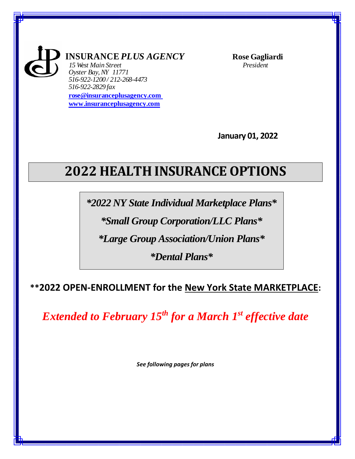

**INSURANCE** *PLUS AGENCY* **Rose Gagliardi**

*15 West Main Street President Oyster Bay,NY 11771 516-922-1200 / 212-268-4473 516-922-2829 fax*

**[rose@insuranceplusagency.com](mailto:rose@insuranceplusagency.com)  [www.insuranceplusagency.com](http://www.insuranceplusagency.com/)**

**January 01, 2022**

# **2022 HEALTH INSURANCE OPTIONS**

*\*2022 NY State Individual Marketplace Plans\**

*\*Small Group Corporation/LLC Plans\**

*\*Large Group Association/Union Plans\**

*\*Dental Plans\**

## **\*\*2022 OPEN-ENROLLMENT for the New York State MARKETPLACE:**

*Extended to February 15th for a March 1st effective date*

*See following pages for plans*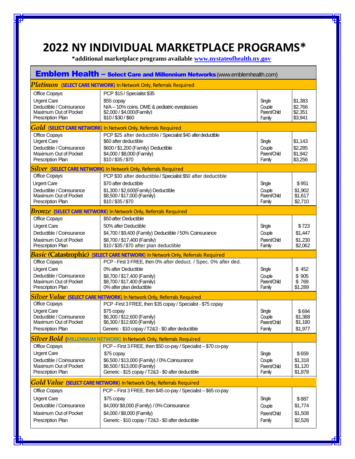## **2022 NY INDIVIDUAL MARKETPLACE PROGRAMS\***

 **\*additional marketplace programs available [www.nystateofhealth.ny.gov](http://www.nystateofhealth.ny.gov/)**

| <b>Emblem Health - Select Care and Millennium Networks (www.emblemhealth.com)</b>                                    |                                                                                                                                                                                                                    |                                            |                                          |  |  |
|----------------------------------------------------------------------------------------------------------------------|--------------------------------------------------------------------------------------------------------------------------------------------------------------------------------------------------------------------|--------------------------------------------|------------------------------------------|--|--|
|                                                                                                                      | <b>Platinum</b> (SELECT CARE NETWORK) In Network Only, Referrals Required                                                                                                                                          |                                            |                                          |  |  |
| <b>Office Copays</b><br><b>Urgent Care</b><br>Deductible / Coinsurance<br>Maximum Out of Pocket<br>Prescription Plan | PCP \$15 / Specialist \$35<br>\$55 copay<br>N/A - 10% coins. DME & pediatric eyeglasses<br>\$2,000 / \$4,000 (Family)<br>\$10/\$30/\$60                                                                            | Single<br>Couple<br>Parent/Child<br>Family | \$1,383<br>\$2,766<br>\$2,351<br>\$3,941 |  |  |
|                                                                                                                      | <b>Gold</b> (SELECT CARE NETWORK) In Network Only, Referrals Required                                                                                                                                              |                                            |                                          |  |  |
| <b>Office Copays</b><br><b>Urgent Care</b><br>Deductible / Coinsurance<br>Maximum Out of Pocket<br>Prescription Plan | PCP \$25 after deductible / Specialist \$40 after deductible<br>\$60 after deductible<br>\$600 / \$1,200 (Family) Deductible<br>\$4,000 / \$8,000 (Family)<br>\$10/\$35/\$70                                       | Single<br>Couple<br>Parent/Child<br>Family | \$1,143<br>\$2,285<br>\$1,942<br>\$3,256 |  |  |
|                                                                                                                      | <b>Silver</b> (SELECT CARE NETWORK) In Network Only, Referrals Required                                                                                                                                            |                                            |                                          |  |  |
| <b>Office Copays</b><br><b>Urgent Care</b><br>Deductible / Coinsurance<br>Maximum Out of Pocket<br>Prescription Plan | PCP \$30 after deductible/Specialist \$50 after deductible<br>\$70 after deductible<br>\$1,300 / \$2,600(Family) Deductible<br>\$8,500 / \$17,000 (Family)<br>\$10/\$35/\$70                                       | Single<br>Couple<br>Parent/Child<br>Family | \$951<br>\$1,902<br>\$1,617<br>\$2,710   |  |  |
|                                                                                                                      | <b>Bronze</b> (SELECT CARE NETWORK) In Network Only, Referrals Required                                                                                                                                            |                                            |                                          |  |  |
| Office Copays<br><b>Urgent Care</b><br>Deductible / Coinsurance<br>Maximum Out of Pocket<br>Prescription Plan        | \$50 after Deductible<br>50% after Deductible<br>\$4,700 / \$9,400 (Family) Deductible / 50% Coinsurance<br>\$8.700 / \$17.400 (Family)<br>\$10/\$35/\$70 after plan deductible                                    | Single<br>Couple<br>Parent/Child<br>Family | \$723<br>\$1,447<br>\$1,230<br>\$2,062   |  |  |
| <b>Basic (Catastrophic)</b>                                                                                          | (SELECT CARE NETWORK) In Network Only, Referrals Required                                                                                                                                                          |                                            |                                          |  |  |
| Office Copays<br><b>Urgent Care</b><br>Deductible / Coinsurance<br>Maximum Out of Pocket<br>Prescription Plan        | PCP - First 3 FREE, then 0% after deduct. / Spec. 0% after ded.<br>0% after Deductible<br>\$8,700 / \$17,400 (Family)<br>\$8,700 / \$17,400 (Family)<br>0% after plan deductible                                   | Single<br>Couple<br>Parent/Child<br>Family | \$452<br>\$905<br>\$769<br>\$1,289       |  |  |
|                                                                                                                      | Silver Value (SELECT CARE NETWORK) In Network Only, Referrals Required                                                                                                                                             |                                            |                                          |  |  |
| Office Copays<br><b>Urgent Care</b><br>Deductible / Coinsurance<br>Maximum Out of Pocket<br>Prescription Plan        | PCP - First 3 FREE, then \$35 copay / Specialist - \$75 copay<br>\$75 copay<br>\$6,300 / \$12,600 (Family)<br>\$6,300 / \$12,600 (Family)<br>Generic - \$10 copay / T2&3 - \$0 after deductible                    | Single<br>Couple<br>Parent/Child<br>Family | \$694<br>\$1,388<br>\$1,180<br>\$1,977   |  |  |
|                                                                                                                      | Silver Bold (MILLENNIUM NETWORK) In Network Only, Referrals Required                                                                                                                                               |                                            |                                          |  |  |
| Office Copays<br><b>Urgent Care</b><br>Deductible / Coinsurance<br>Maximum Out of Pocket<br>Prescription Plan        | PCP - First 3 FREE, then \$50 co-pay / Specialist - \$70 co-pay<br>\$75 copay<br>\$6,500 / \$13,000 (Family) / 0% Coinsurance<br>\$6,500 / \$13,000 (Family)<br>Generic - \$15 copay / T2&3 - \$0 after deductible | Single<br>Couple<br>Parent/Child<br>Family | \$659<br>\$1,318<br>\$1,120<br>\$1,878   |  |  |
|                                                                                                                      | Gold Value (SELECT CARE NETWORK) In Network Only, Referrals Required                                                                                                                                               |                                            |                                          |  |  |
| Office Copays<br><b>Urgent Care</b><br>Deductible / Coinsurance<br>Maximum Out of Pocket<br>Prescription Plan        | PCP - First 3 FREE, then \$45 co-pay / Specialist - \$65 co-pay<br>\$75 copay<br>\$4,000/ \$8,000 (Family) / 0% Coinsurance<br>\$4,000 / \$8,000 (Family)<br>Generic - \$10 copay / T2&3 - \$0 after deductible    | Single<br>Couple<br>Parent/Child<br>Family | \$887<br>\$1,774<br>\$1,508<br>\$2,528   |  |  |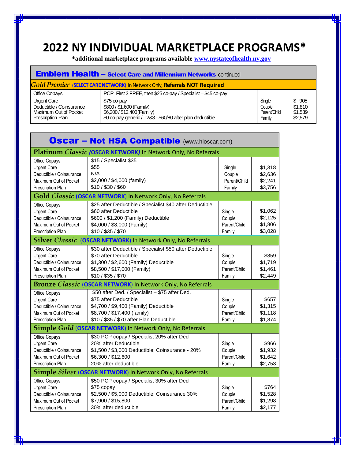## **2022 NY INDIVIDUAL MARKETPLACE PROGRAMS\***

 **\*additional marketplace programs available [www.nystateofhealth.ny.gov](http://www.nystateofhealth.ny.gov/)**

| <b>Emblem Health - Select Care and Millennium Networks continued</b>                  |                                                                                                                                  |                                            |                                        |  |  |  |
|---------------------------------------------------------------------------------------|----------------------------------------------------------------------------------------------------------------------------------|--------------------------------------------|----------------------------------------|--|--|--|
| <b>Gold Premier (SELECT CARE NETWORK)</b> In Network Only, Referrals NOT Required     |                                                                                                                                  |                                            |                                        |  |  |  |
| Office Copays                                                                         | PCP First 3 FREE, then \$25 co-pay / Specialist - \$45 co-pay                                                                    |                                            |                                        |  |  |  |
| Urgent Care<br>Deductible / Coinsurance<br>Maximum Out of Pocket<br>Prescription Plan | \$75 co-pay<br>\$800 / \$1,600 (Family)<br>\$6,200/\$12,400(Family)<br>\$0 co-pay generic / T2&3 - \$60/80 after plan deductible | Single<br>Couple<br>Parent/Child<br>Family | \$905<br>\$1.810<br>\$1,539<br>\$2,579 |  |  |  |

|                                                                                                               | <b>Oscar - Not HSA Compatible</b> (www.hioscar.com)                                                                                                                                         |                                            |                                          |
|---------------------------------------------------------------------------------------------------------------|---------------------------------------------------------------------------------------------------------------------------------------------------------------------------------------------|--------------------------------------------|------------------------------------------|
|                                                                                                               | Platinum Classic (OSCAR NETWORK) In Network Only, No Referrals                                                                                                                              |                                            |                                          |
| Office Copays<br><b>Urgent Care</b><br>Deductible / Coinsurance<br>Maximum Out of Pocket<br>Prescription Plan | \$15 / Specialist \$35<br>\$55<br>N/A<br>\$2,000 / \$4,000 (family)<br>\$10 / \$30 / \$60                                                                                                   | Single<br>Couple<br>Parent/Child<br>Family | \$1,318<br>\$2,636<br>\$2,241<br>\$3,756 |
|                                                                                                               | Gold Classic (OSCAR NETWORK) In Network Only, No Referrals                                                                                                                                  |                                            |                                          |
| Office Copays<br><b>Urgent Care</b><br>Deductible / Coinsurance<br>Maximum Out of Pocket<br>Prescription Plan | \$25 after Deductible / Specialist \$40 after Deductible<br>\$60 after Deductible<br>\$600 / \$1,200 (Family) Deductible<br>\$4,000 / \$8,000 (Family)<br>\$10 / \$35 / \$70                | Single<br>Couple<br>Parent/Child<br>Family | \$1,062<br>\$2,125<br>\$1,806<br>\$3,028 |
| <b>Silver Classic</b>                                                                                         | (OSCAR NETWORK) In Network Only, No Referrals                                                                                                                                               |                                            |                                          |
| Office Copays<br><b>Urgent Care</b><br>Deductible / Coinsurance<br>Maximum Out of Pocket<br>Prescription Plan | \$30 after Deductible / Specialist \$50 after Deductible<br>\$70 after Deductible<br>\$1,300 / \$2,600 (Family) Deductible<br>\$8,500 / \$17,000 (Family)<br>\$10 / \$35 / \$70             | Single<br>Couple<br>Parent/Child<br>Family | \$859<br>\$1,719<br>\$1,461<br>\$2,449   |
|                                                                                                               | <b>Bronze Classic (OSCAR NETWORK)</b> In Network Only, No Referrals                                                                                                                         |                                            |                                          |
| Office Copays<br><b>Urgent Care</b><br>Deductible / Coinsurance<br>Maximum Out of Pocket<br>Prescription Plan | \$50 after Ded. / Specialist - \$75 after Ded.<br>\$75 after Deductible<br>\$4,700 / \$9,400 (Family) Deductible<br>\$8,700 / \$17,400 (family)<br>\$10 / \$35 / \$70 after Plan Deductible | Single<br>Couple<br>Parent/Child<br>Family | \$657<br>\$1,315<br>\$1,118<br>\$1,874   |
|                                                                                                               | Simple Gold (OSCAR NETWORK) In Network Only, No Referrals                                                                                                                                   |                                            |                                          |
| Office Copays<br><b>Urgent Care</b><br>Deductible / Coinsurance<br>Maximum Out of Pocket<br>Prescription Plan | \$30 PCP copay / Specialist 20% after Ded<br>20% after Deductible<br>\$1,500 / \$3,000 Deductible; Coinsurance - 20%<br>\$6,300 / \$12,600<br>20% after deductible                          | Single<br>Couple<br>Parent/Child<br>Family | \$966<br>\$1,932<br>\$1,642<br>\$2,753   |
| <b>Simple Silver (OSCAR NETWORK)</b> In Network Only, No Referrals                                            |                                                                                                                                                                                             |                                            |                                          |
| Office Copays<br><b>Urgent Care</b><br>Deductible / Coinsurance<br>Maximum Out of Pocket<br>Prescription Plan | \$50 PCP copay / Specialist 30% after Ded<br>\$75 copay<br>\$2,500 / \$5,000 Deductible; Coinsurance 30%<br>\$7,900 / \$15,800<br>30% after deductible                                      | Single<br>Couple<br>Parent/Child<br>Family | \$764<br>\$1,528<br>\$1,298<br>\$2,177   |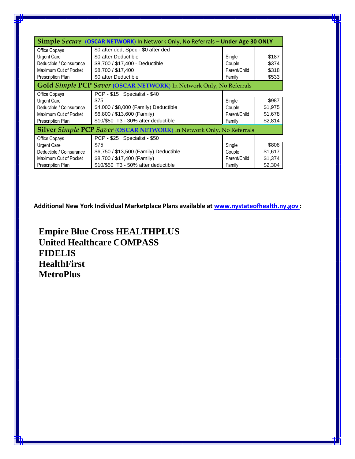| <b>Simple Secure (OSCAR NETWORK)</b> In Network Only, No Referrals – <b>Under Age 30 ONLY</b> |                                        |              |         |  |  |
|-----------------------------------------------------------------------------------------------|----------------------------------------|--------------|---------|--|--|
| Office Copays                                                                                 | \$0 after ded; Spec - \$0 after ded    |              |         |  |  |
| <b>Urgent Care</b>                                                                            | \$0 after Deductible                   | Single       | \$187   |  |  |
| Deductible / Coinsurance                                                                      | \$8,700 / \$17,400 - Deductible        | Couple       | \$374   |  |  |
| Maximum Out of Pocket                                                                         | \$8,700 / \$17,400                     | Parent/Child | \$318   |  |  |
| Prescription Plan                                                                             | \$0 after Deductible                   | Family       | \$533   |  |  |
| Gold Simple PCP Saver (OSCAR NETWORK) In Network Only, No Referrals                           |                                        |              |         |  |  |
| Office Copays                                                                                 | PCP - \$15 Specialist - \$40           |              |         |  |  |
| <b>Urgent Care</b>                                                                            | \$75                                   | Single       | \$987   |  |  |
| Deductible / Coinsurance                                                                      | \$4,000 / \$8,000 (Family) Deductible  | Couple       | \$1,975 |  |  |
| Maximum Out of Pocket                                                                         | \$6,800 / \$13,600 (Family)            | Parent/Child | \$1,678 |  |  |
| Prescription Plan                                                                             | \$10/\$50 T3 - 30% after deductible    | Family       | \$2,814 |  |  |
| <b>Silver Simple PCP Saver (OSCAR NETWORK) In Network Only, No Referrals</b>                  |                                        |              |         |  |  |
| Office Copays                                                                                 | PCP - \$25 Specialist - \$50           |              |         |  |  |
| Urgent Care                                                                                   | \$75                                   | Single       | \$808   |  |  |
| Deductible / Coinsurance                                                                      | \$6,750 / \$13,500 (Family) Deductible | Couple       | \$1,617 |  |  |
| Maximum Out of Pocket                                                                         | \$8,700 / \$17,400 (Family)            | Parent/Child | \$1,374 |  |  |
| <b>Prescription Plan</b>                                                                      | \$10/\$50 T3 - 50% after deductible    | Family       | \$2,304 |  |  |

**Additional New York Individual Marketplace Plans available at www.nystateofhealth.ny.gov :**

**Empire Blue Cross HEALTHPLUS United Healthcare COMPASS FIDELIS HealthFirst MetroPlus**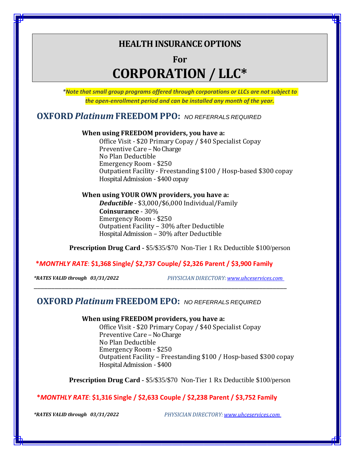## **HEALTH INSURANCE OPTIONS**

**For**

# **CORPORATION / LLC\***

*\*Note that small group programs offered through corporations or LLCs are not subject to the open-enrollment period and can be installed any month of the year.*

### **OXFORD** *Platinum* **FREEDOM PPO:** *NO REFERRALS REQUIRED*

### **When using FREEDOM providers, you have a:**

Office Visit - \$20 Primary Copay / \$40 Specialist Copay Preventive Care – No Charge No Plan Deductible Emergency Room - \$250 Outpatient Facility - Freestanding \$100 / Hosp-based \$300 copay Hospital Admission - \$400 copay

### **When using YOUR OWN providers, you have a:**

*Deductible* - \$3,000/\$6,000 Individual/Family **Coinsurance** - 30% Emergency Room - \$250 Outpatient Facility – 30% after Deductible Hospital Admission – 30% after Deductible

**Prescription Drug Card -** \$5/\$35/\$70 Non-Tier 1 Rx Deductible \$100/person

### **\****MONTHLY RATE*: **\$1,368 Single/ \$2,737 Couple/ \$2,326 Parent / \$3,900 Family**

\_\_\_\_\_\_\_\_\_\_\_\_\_\_\_\_\_\_\_\_\_\_\_\_\_\_\_\_\_\_\_\_\_\_\_\_\_\_\_\_\_\_\_\_\_\_\_\_\_\_\_\_\_\_\_\_\_\_\_\_\_\_\_\_\_\_\_\_\_\_\_\_\_

*\*RATES VALID through 03/31/2022**PHYSICIAN DIRECTORY: www.uhceservices.com*

### **OXFORD** *Platinum* **FREEDOM EPO:** *NO REFERRALS REQUIRED*

**When using FREEDOM providers, you have a:**

Office Visit - \$20 Primary Copay / \$40 Specialist Copay Preventive Care – No Charge No Plan Deductible Emergency Room - \$250 Outpatient Facility – Freestanding \$100 / Hosp-based \$300 copay Hospital Admission - \$400

**Prescription Drug Card -** \$5/\$35/\$70 Non-Tier 1 Rx Deductible \$100/person

### **\****MONTHLY RATE*: **\$1,316 Single / \$2,633 Couple / \$2,238 Parent / \$3,752 Family**

*\*RATES VALID through 03/31/2022**PHYSICIAN DIRECTORY: www.uhceservices.com*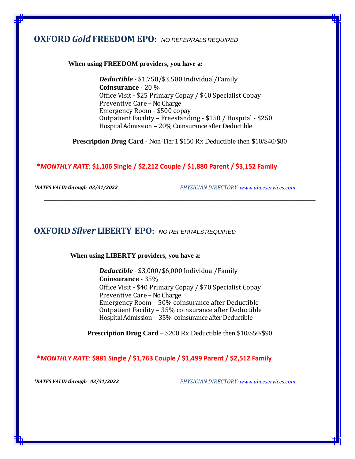### **OXFORD** *Gold* **FREEDOM EPO:** *NO REFERRALS REQUIRED*

#### **When using FREEDOM providers, you have a:**

*Deductible* - \$1,750/\$3,500 Individual/Family **Coinsurance** - 20 % Office Visit - \$25 Primary Copay / \$40 Specialist Copay Preventive Care – No Charge Emergency Room - \$500 copay Outpatient Facility – Freestanding - \$150 / Hospital - \$250 Hospital Admission – 20% Coinsurance after Deductible

**Prescription Drug Card -** Non-Tier 1 \$150 Rx Deductible then \$10/\$40/\$80

\_\_\_\_\_\_\_\_\_\_\_\_\_\_\_\_\_\_\_\_\_\_\_\_\_\_\_\_\_\_\_\_\_\_\_\_\_\_\_\_\_\_\_\_\_\_\_\_\_\_\_\_\_\_\_\_\_\_\_\_\_\_\_\_\_\_\_\_\_\_\_\_

### **\****MONTHLY RATE*: **\$1,106 Single / \$2,212 Couple / \$1,880 Parent / \$3,152 Family**

*\*RATES VALID through 03/31/2022 PHYSICIAN DIRECTORY: [www.uhceservices.com](http://www.uhceservices.com/)*

### **OXFORD** *Silver* **LIBERTY EPO:** *NO REFERRALS REQUIRED*

**When using LIBERTY providers, you have a:**

*Deductible* - \$3,000/\$6,000 Individual/Family **Coinsurance** - 35% Office Visit - \$40 Primary Copay / \$70 Specialist Copay Preventive Care - No Charge Emergency Room – 50% coinsurance after Deductible Outpatient Facility – 35% coinsurance after Deductible Hospital Admission – 35% coinsurance after Deductible

**Prescription Drug Card –** \$200 Rx Deductible then \$10/\$50/\$90

**\****MONTHLY RATE*: **\$881 Single / \$1,763 Couple / \$1,499 Parent / \$2,512 Family**

*\*RATES VALID through 03/31/2022 PHYSICIAN DIRECTORY: [www.uhceservices.com](http://www.uhceservices.com/)*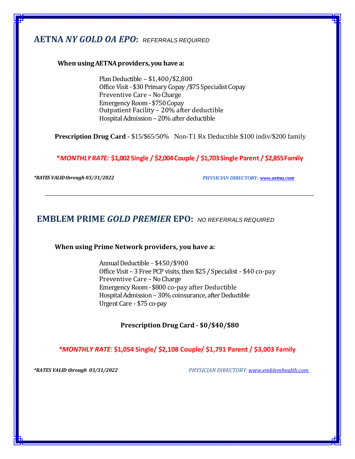## **AETNA** *NY GOLD OA EPO***:** *REFERRALS REQUIRED*

### **When usingAETNAproviders, you have a:**

PlanDeductible – \$1,400/\$2,800 Office Visit - \$30 Primary Copay / \$75 Specialist Copay Preventive Care – No Charge Emergency Room - \$750 Copay Outpatient Facility – 20% after deductible Hospital Admission – 20% after deductible

**Prescription Drug Card -** \$15/\$65/50% Non-T1 Rx Deductible \$100 indiv/\$200 family

**\****MONTHLYRATE:* **\$1,002 Single / \$2,004Couple / \$1,703Single Parent / \$2,855Family**

\_\_\_\_\_\_\_\_\_\_\_\_\_\_\_\_\_\_\_\_\_\_\_\_\_\_\_\_\_\_\_\_\_\_\_\_\_\_\_\_\_\_\_\_\_\_\_\_\_\_\_\_\_\_\_\_\_\_\_\_\_\_\_\_\_\_\_\_\_\_\_\_\_\_\_\_\_\_\_\_\_\_\_\_\_\_\_\_\_\_\_\_\_

*\*RATES VALIDthrough 03/31/2022 PHYSICIAN DIRECTORY[: www.aetna.com](http://www.aetna.com/)*

### **EMBLEM PRIME** *GOLD PREMIER* **EPO:** *NO REFERRALS REQUIRED*

**When using Prime Network providers, you have a:**

Annual Deductible - \$450/\$900 Office Visit – 3 Free PCP visits, then \$25/Specialist - \$40 co-pay Preventive Care – No Charge Emergency Room - \$800 co-pay after Deductible Hospital Admission – 30% coinsurance, after Deductible UrgentCare - \$75 co-pay

**Prescription Drug Card - \$0/\$40/\$80**

*\*MONTHLY RATE*: **\$1,054 Single/ \$2,108 Couple/ \$1,791 Parent / \$3,003 Family**

*\*RATES VALID through 03/31/2022**PHYSICIAN DIRECTORY: www.emblemhealth.com*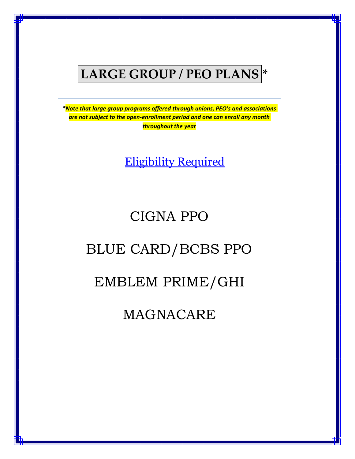# **LARGE GROUP / PEO PLANS \***

*\*Note that large group programs offered through unions, PEO's and associations are not subject to the open-enrollment period and one can enroll any month throughout the year*

Eligibility Required

## CIGNA PPO

# BLUE CARD/BCBS PPO

## EMBLEM PRIME/GHI

# MAGNACARE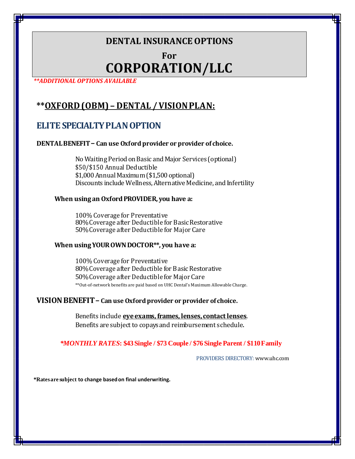## **DENTAL INSURANCEOPTIONS**

## **For CORPORATION/LLC**

*\*\*ADDITIONAL OPTIONS AVAILABLE*

## **\*\*OXFORD (OBM) – DENTAL /VISIONPLAN:**

### **ELITE SPECIALTY PLAN OPTION**

### **DENTALBENEFIT– Can use Oxfordprovider or provider of choice.**

No Waiting Period on Basic and Major Services (optional) \$50/\$150 Annual Deductible \$1,000Annual Maximum(\$1,500optional) Discounts include Wellness,Alternative Medicine, and Infertility

### **When usingan OxfordPROVIDER, you have a:**

100% Coverage for Preventative 80% Coverage after Deductible for Basic Restorative 50%Coverage afterDeductible for Major Care

### **When usingYOUROWNDOCTOR\*\*, you have a:**

100% Coverage for Preventative 80% Coverage after Deductible for Basic Restorative 50% Coverage after Deductible for Major Care \*\*Out-of-network benefits are paid based on UHC Dental's Maximum Allowable Charge.

### **VISIONBENEFIT– Can use Oxfordprovider or provider of choice.**

Benefits include **eyeexams, frames, lenses, contactlenses**. Benefits are subject to copays and reimbursement schedule.

### *\*MONTHLY RATES***: \$43Single / \$73 Couple / \$76 Single Parent / \$110Family**

PROVIDERS DIRECTORY: www.uhc.com

**\*Ratesare subject to change basedon final underwriting.**